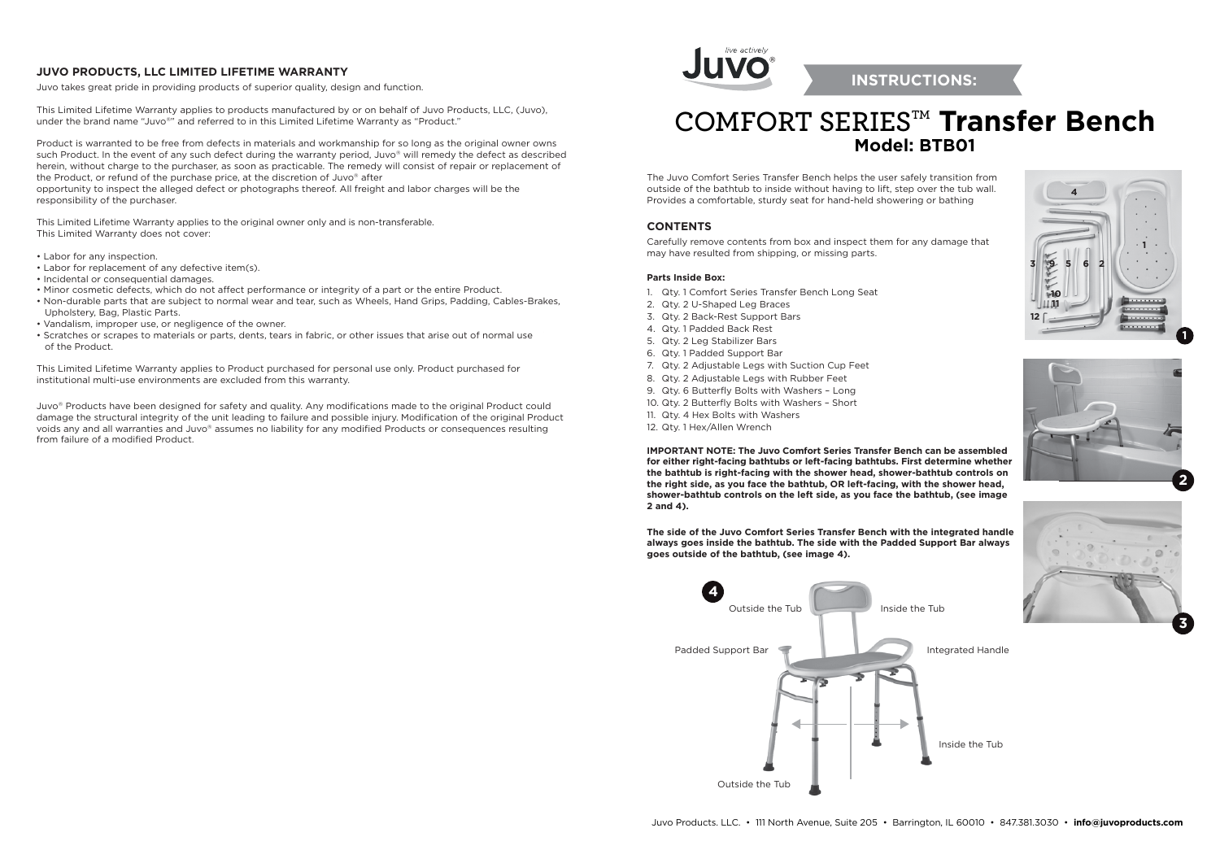# **COMFORT SERIESTM Transfer Bench Model: BTB01**

The Juvo Comfort Series Transfer Bench helps the user safely transition from outside of the bathtub to inside without having to lift, step over the tub wall. Provides a comfortable, sturdy seat for hand-held showering or bathing

#### **CONTENTS**

Carefully remove contents from box and inspect them for any damage that may have resulted from shipping, or missing parts.

#### **Parts Inside Box:**

- 1. Qty. 1 Comfort Series Transfer Bench Long Seat
- 2. Qty. 2 U-Shaped Leg Braces
- 3. Qty. 2 Back-Rest Support Bars
- 4. Qty. 1 Padded Back Rest
- 5. Qty. 2 Leg Stabilizer Bars
- 6. Qty. 1 Padded Support Bar
- 7. Qty. 2 Adjustable Legs with Suction Cup Feet
- 8. Qty. 2 Adjustable Legs with Rubber Feet
- 9. Qty. 6 Butterfly Bolts with Washers Long
- 10. Qty. 2 Butterfly Bolts with Washers Short
- 11. Qty. 4 Hex Bolts with Washers
- 12. Qty. 1 Hex/Allen Wrench

This Limited Lifetime Warranty applies to products manufactured by or on behalf of Juvo Products, LLC, (Juvo), under the brand name "Juvo®" and referred to in this Limited Lifetime Warranty as "Product."

> **IMPORTANT NOTE: The Juvo Comfort Series Transfer Bench can be assembled for either right-facing bathtubs or left-facing bathtubs. First determine whether the bathtub is right-facing with the shower head, shower-bathtub controls on the right side, as you face the bathtub, OR left-facing, with the shower head, shower-bathtub controls on the left side, as you face the bathtub, (see image 2 and 4).**

> **The side of the Juvo Comfort Series Transfer Bench with the integrated handle always goes inside the bathtub. The side with the Padded Support Bar always goes outside of the bathtub, (see image 4).**





## **INSTRUCTIONS:**





Inside the Tub

### **JUVO PRODUCTS, LLC LIMITED LIFETIME WARRANTY**

Juvo takes great pride in providing products of superior quality, design and function.

Product is warranted to be free from defects in materials and workmanship for so long as the original owner owns such Product. In the event of any such defect during the warranty period, Juvo® will remedy the defect as described herein, without charge to the purchaser, as soon as practicable. The remedy will consist of repair or replacement of the Product, or refund of the purchase price, at the discretion of Juvo® after opportunity to inspect the alleged defect or photographs thereof. All freight and labor charges will be the responsibility of the purchaser.

This Limited Lifetime Warranty applies to the original owner only and is non-transferable. This Limited Warranty does not cover:

- Labor for any inspection.
- Labor for replacement of any defective item(s).
- Incidental or consequential damages.
- Minor cosmetic defects, which do not affect performance or integrity of a part or the entire Product.
- Non-durable parts that are subject to normal wear and tear, such as Wheels, Hand Grips, Padding, Cables-Brakes, Upholstery, Bag, Plastic Parts.
- Vandalism, improper use, or negligence of the owner.
- Scratches or scrapes to materials or parts, dents, tears in fabric, or other issues that arise out of normal use of the Product.

This Limited Lifetime Warranty applies to Product purchased for personal use only. Product purchased for institutional multi-use environments are excluded from this warranty.

Juvo® Products have been designed for safety and quality. Any modifications made to the original Product could damage the structural integrity of the unit leading to failure and possible injury. Modification of the original Product voids any and all warranties and Juvo® assumes no liability for any modified Products or consequences resulting from failure of a modified Product.